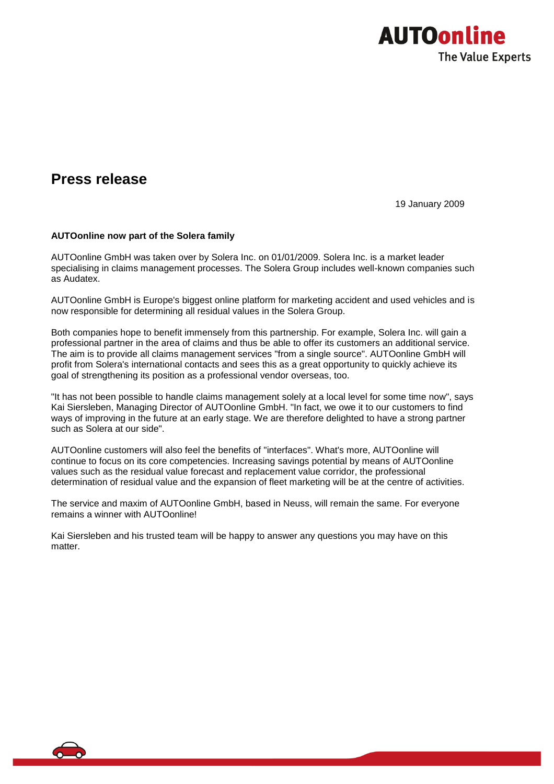

## **Press release**

19 January 2009

## **AUTOonline now part of the Solera family**

AUTOonline GmbH was taken over by Solera Inc. on 01/01/2009. Solera Inc. is a market leader specialising in claims management processes. The Solera Group includes well-known companies such as Audatex.

AUTOonline GmbH is Europe's biggest online platform for marketing accident and used vehicles and is now responsible for determining all residual values in the Solera Group.

Both companies hope to benefit immensely from this partnership. For example, Solera Inc. will gain a professional partner in the area of claims and thus be able to offer its customers an additional service. The aim is to provide all claims management services "from a single source". AUTOonline GmbH will profit from Solera's international contacts and sees this as a great opportunity to quickly achieve its goal of strengthening its position as a professional vendor overseas, too.

"It has not been possible to handle claims management solely at a local level for some time now", says Kai Siersleben, Managing Director of AUTOonline GmbH. "In fact, we owe it to our customers to find ways of improving in the future at an early stage. We are therefore delighted to have a strong partner such as Solera at our side".

AUTOonline customers will also feel the benefits of "interfaces". What's more, AUTOonline will continue to focus on its core competencies. Increasing savings potential by means of AUTOonline values such as the residual value forecast and replacement value corridor, the professional determination of residual value and the expansion of fleet marketing will be at the centre of activities.

The service and maxim of AUTOonline GmbH, based in Neuss, will remain the same. For everyone remains a winner with AUTOonline!

Kai Siersleben and his trusted team will be happy to answer any questions you may have on this matter.